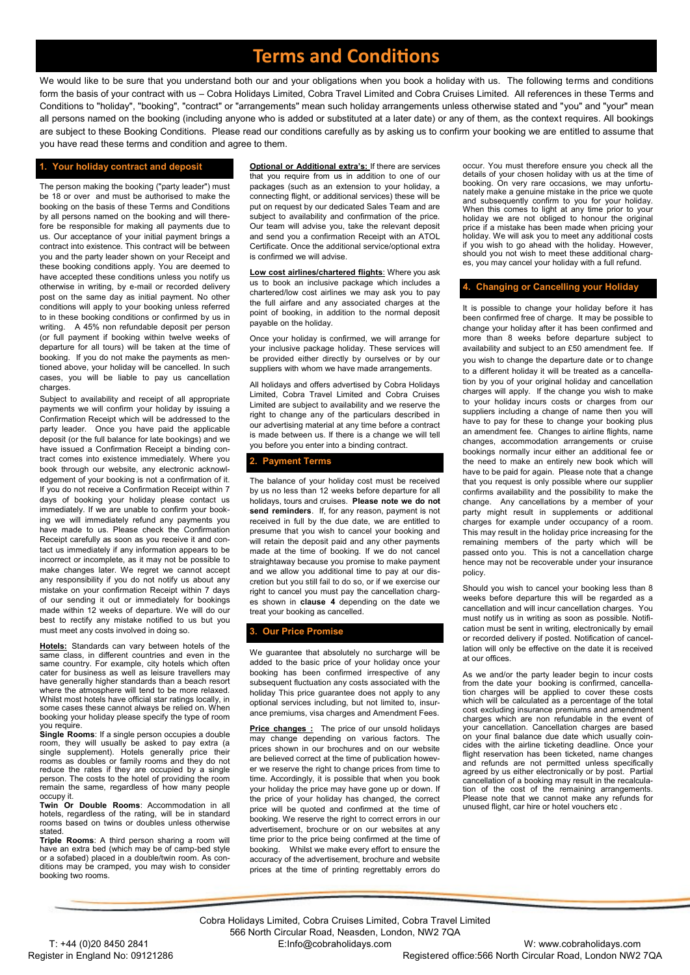# **Terms and Conditions**

We would like to be sure that you understand both our and your obligations when you book a holiday with us. The following terms and conditions form the basis of your contract with us – Cobra Holidays Limited, Cobra Travel Limited and Cobra Cruises Limited. All references in these Terms and Conditions to "holiday", "booking", "contract" or "arrangements" mean such holiday arrangements unless otherwise stated and "you" and "your" mean all persons named on the booking (including anyone who is added or substituted at a later date) or any of them, as the context requires. All bookings are subject to these Booking Conditions. Please read our conditions carefully as by asking us to confirm your booking we are entitled to assume that you have read these terms and condition and agree to them.

### **1. Your holiday contract and deposit**

The person making the booking ("party leader") must be 18 or over and must be authorised to make the booking on the basis of these Terms and Conditions by all persons named on the booking and will therefore be responsible for making all payments due to us. Our acceptance of your initial payment brings a contract into existence. This contract will be between you and the party leader shown on your Receipt and these booking conditions apply. You are deemed to have accepted these conditions unless you notify us otherwise in writing, by e-mail or recorded delivery post on the same day as initial payment. No other conditions will apply to your booking unless referred to in these booking conditions or confirmed by us in writing. A 45% non refundable deposit per person (or full payment if booking within twelve weeks of departure for all tours) will be taken at the time of booking. If you do not make the payments as mentioned above, your holiday will be cancelled. In such cases, you will be liable to pay us cancellation charges.

Subject to availability and receipt of all appropriate payments we will confirm your holiday by issuing a Confirmation Receipt which will be addressed to the party leader. Once you have paid the applicable deposit (or the full balance for late bookings) and we have issued a Confirmation Receipt a binding contract comes into existence immediately. Where you book through our website, any electronic acknowledgement of your booking is not a confirmation of it. If you do not receive a Confirmation Receipt within 7 days of booking your holiday please contact us immediately. If we are unable to confirm your booking we will immediately refund any payments you have made to us. Please check the Confirmation Receipt carefully as soon as you receive it and contact us immediately if any information appears to be incorrect or incomplete, as it may not be possible to make changes later. We regret we cannot accept any responsibility if you do not notify us about any mistake on your confirmation Receipt within 7 days of our sending it out or immediately for bookings made within 12 weeks of departure. We will do our best to rectify any mistake notified to us but you must meet any costs involved in doing so.

**Hotels:** Standards can vary between hotels of the same class, in different countries and even in the same country. For example, city hotels which often cater for business as well as leisure travellers may have generally higher standards than a beach resort where the atmosphere will tend to be more relaxed. Whilst most hotels have official star ratings locally, in some cases these cannot always be relied on. When booking your holiday please specify the type of room you require.

**Single Rooms**: If a single person occupies a double room, they will usually be asked to pay extra (a single supplement). Hotels generally price their rooms as doubles or family rooms and they do not reduce the rates if they are occupied by a single person. The costs to the hotel of providing the room remain the same, regardless of how many people occupy it.

**Twin Or Double Rooms**: Accommodation in all hotels, regardless of the rating, will be in standard rooms based on twins or doubles unless otherwise stated

**Triple Rooms**: A third person sharing a room will have an extra bed (which may be of camp-bed style or a sofabed) placed in a double/twin room. As conditions may be cramped, you may wish to consider booking two rooms.

**Optional or Additional extra's:** If there are services that you require from us in addition to one of our packages (such as an extension to your holiday, a connecting flight, or additional services) these will be put on request by our dedicated Sales Team and are subject to availability and confirmation of the price. Our team will advise you, take the relevant deposit and send you a confirmation Receipt with an ATOL Certificate. Once the additional service/optional extra is confirmed we will advise.

**Low cost airlines/chartered flights**: Where you ask us to book an inclusive package which includes a chartered/low cost airlines we may ask you to pay the full airfare and any associated charges at the point of booking, in addition to the normal deposit payable on the holiday.

Once your holiday is confirmed, we will arrange for your inclusive package holiday. These services will be provided either directly by ourselves or by our suppliers with whom we have made arrangements.

All holidays and offers advertised by Cobra Holidays Limited, Cobra Travel Limited and Cobra Cruises Limited are subject to availability and we reserve the right to change any of the particulars described in our advertising material at any time before a contract is made between us. If there is a change we will tell you before you enter into a binding contract.

### **2. Payment Terms**

The balance of your holiday cost must be received by us no less than 12 weeks before departure for all holidays, tours and cruises. **Please note we do not send reminders**. If, for any reason, payment is not received in full by the due date, we are entitled to presume that you wish to cancel your booking and will retain the deposit paid and any other payments made at the time of booking. If we do not cancel straightaway because you promise to make payment and we allow you additional time to pay at our discretion but you still fail to do so, or if we exercise our right to cancel you must pay the cancellation charges shown in **clause 4** depending on the date we treat your booking as cancelled.

### **3. Our Price Promise**

We guarantee that absolutely no surcharge will be added to the basic price of your holiday once your booking has been confirmed irrespective of any subsequent fluctuation any costs associated with the holiday This price guarantee does not apply to any optional services including, but not limited to, insurance premiums, visa charges and Amendment Fees.

**Price changes :** The price of our unsold holidays may change depending on various factors. The prices shown in our brochures and on our website are believed correct at the time of publication however we reserve the right to change prices from time to time. Accordingly, it is possible that when you book your holiday the price may have gone up or down. If the price of your holiday has changed, the correct price will be quoted and confirmed at the time of booking. We reserve the right to correct errors in our advertisement, brochure or on our websites at any time prior to the price being confirmed at the time of booking. Whilst we make every effort to ensure the accuracy of the advertisement, brochure and website prices at the time of printing regrettably errors do occur. You must therefore ensure you check all the details of your chosen holiday with us at the time of booking. On very rare occasions, we may unfortunately make a genuine mistake in the price we quote and subsequently confirm to you for your holiday. When this comes to light at any time prior to your holiday we are not obliged to honour the original price if a mistake has been made when pricing your holiday. We will ask you to meet any additional costs if you wish to go ahead with the holiday. However, should you not wish to meet these additional charges, you may cancel your holiday with a full refund.

### **4. Changing or Cancelling your Holiday**

It is possible to change your holiday before it has been confirmed free of charge. It may be possible to change your holiday after it has been confirmed and more than 8 weeks before departure subject to availability and subject to an £50 amendment fee. If you wish to change the departure date or to change to a different holiday it will be treated as a cancellation by you of your original holiday and cancellation charges will apply. If the change you wish to make to your holiday incurs costs or charges from our suppliers including a change of name then you will have to pay for these to change your booking plus an amendment fee. Changes to airline flights, name changes, accommodation arrangements or cruise bookings normally incur either an additional fee or the need to make an entirely new book which will have to be paid for again. Please note that a change that you request is only possible where our supplier confirms availability and the possibility to make the change. Any cancellations by a member of your party might result in supplements or additional charges for example under occupancy of a room. This may result in the holiday price increasing for the remaining members of the party which will be passed onto you. This is not a cancellation charge hence may not be recoverable under your insurance policy.

Should you wish to cancel your booking less than 8 weeks before departure this will be regarded as a cancellation and will incur cancellation charges. You must notify us in writing as soon as possible. Notification must be sent in writing, electronically by email or recorded delivery if posted. Notification of cancellation will only be effective on the date it is received at our offices.

As we and/or the party leader begin to incur costs from the date your booking is confirmed, cancellation charges will be applied to cover these costs which will be calculated as a percentage of the total cost excluding insurance premiums and amendment charges which are non refundable in the event of your cancellation. Cancellation charges are based on your final balance due date which usually coincides with the airline ticketing deadline. Once your flight reservation has been ticketed, name changes and refunds are not permitted unless specifically agreed by us either electronically or by post. Partial cancellation of a booking may result in the recalculation of the cost of the remaining arrangements. Please note that we cannot make any refunds for unused flight, car hire or hotel vouchers etc .

Cobra Holidays Limited, Cobra Cruises Limited, Cobra Travel Limited 566 North Circular Road, Neasden, London, NW2 7QA T: +44 (0)20 8450 2841 E:Info@cobraholidays.com W: www.cobraholidays.com

Register in England No: 09121286 **Registered office:566 North Circular Road, London NW2 7QA**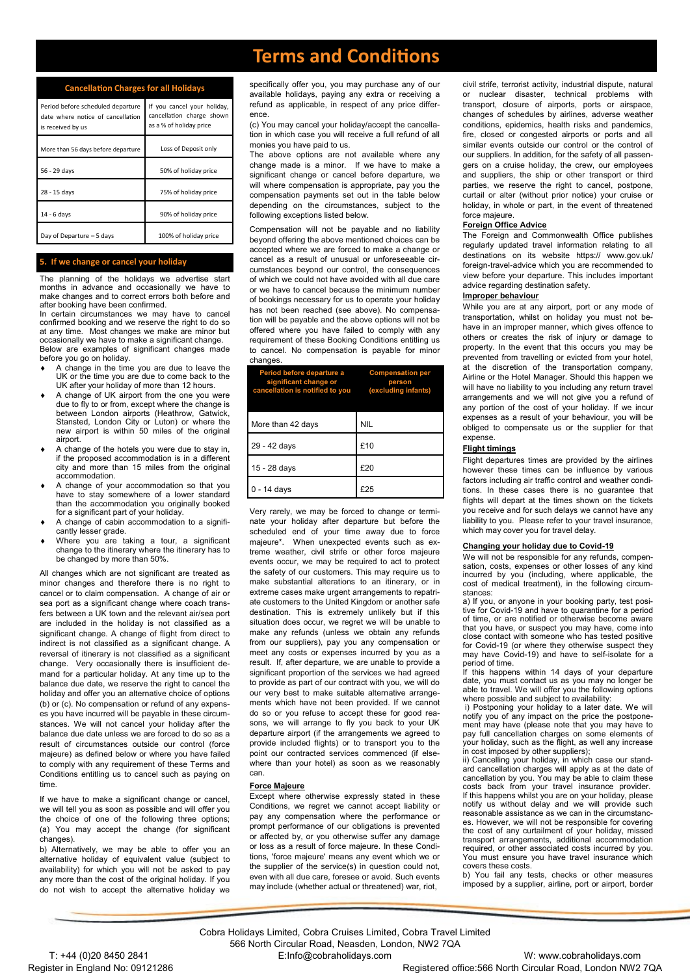# **Terms and Conditions**

### **Cancellation Charges for all Holidays**

| Period before scheduled departure<br>date where notice of cancellation<br>is received by us | If you cancel your holiday,<br>cancellation charge shown<br>as a % of holiday price |
|---------------------------------------------------------------------------------------------|-------------------------------------------------------------------------------------|
| More than 56 days before departure                                                          | Loss of Deposit only                                                                |
| 56 - 29 days                                                                                | 50% of holiday price                                                                |
| 28 - 15 days                                                                                | 75% of holiday price                                                                |
| 14 - 6 davs                                                                                 | 90% of holiday price                                                                |
| Day of Departure - 5 days                                                                   | 100% of holiday price                                                               |

### **5. If we change or cancel your holiday**

The planning of the holidays we advertise start months in advance and occasionally we have to make changes and to correct errors both before and after booking have been confirmed.

In certain circumstances we may have to cancel confirmed booking and we reserve the right to do so at any time. Most changes we make are minor but occasionally we have to make a significant change. Below are examples of significant changes made before you go on holiday.

- A change in the time you are due to leave the UK or the time you are due to come back to the UK after your holiday of more than 12 hours.
- A change of UK airport from the one you were due to fly to or from, except where the change is between London airports (Heathrow, Gatwick, Stansted, London City or Luton) or where the new airport is within 50 miles of the original airport.
- A change of the hotels you were due to stay in, if the proposed accommodation is in a different city and more than 15 miles from the original accommodation.
- A change of your accommodation so that you have to stay somewhere of a lower standard than the accommodation you originally booked for a significant part of your holiday.
- A change of cabin accommodation to a significantly lesser grade.
- Where you are taking a tour, a significant change to the itinerary where the itinerary has to be changed by more than 50%.

All changes which are not significant are treated as minor changes and therefore there is no right to cancel or to claim compensation. A change of air or sea port as a significant change where coach transfers between a UK town and the relevant air/sea port are included in the holiday is not classified as a significant change. A change of flight from direct to indirect is not classified as a significant change. A reversal of itinerary is not classified as a significant change. Very occasionally there is insufficient demand for a particular holiday. At any time up to the balance due date, we reserve the right to cancel the holiday and offer you an alternative choice of options (b) or (c). No compensation or refund of any expenses you have incurred will be payable in these circumstances. We will not cancel your holiday after the balance due date unless we are forced to do so as a result of circumstances outside our control (force majeure) as defined below or where you have failed to comply with any requirement of these Terms and Conditions entitling us to cancel such as paying on time.

If we have to make a significant change or cancel, we will tell you as soon as possible and will offer you the choice of one of the following three options; (a) You may accept the change (for significant changes).

b) Alternatively, we may be able to offer you an alternative holiday of equivalent value (subject to availability) for which you will not be asked to pay any more than the cost of the original holiday. If you do not wish to accept the alternative holiday we

specifically offer you, you may purchase any of our available holidays, paying any extra or receiving a refund as applicable, in respect of any price difference.

(c) You may cancel your holiday/accept the cancellation in which case you will receive a full refund of all monies you have paid to us.

The above options are not available where any change made is a minor. If we have to make a significant change or cancel before departure, we will where compensation is appropriate, pay you the compensation payments set out in the table below depending on the circumstances, subject to the following exceptions listed below.

Compensation will not be payable and no liability beyond offering the above mentioned choices can be accepted where we are forced to make a change or cancel as a result of unusual or unforeseeable circumstances beyond our control, the consequences of which we could not have avoided with all due care or we have to cancel because the minimum number of bookings necessary for us to operate your holiday has not been reached (see above). No compensation will be payable and the above options will not be offered where you have failed to comply with any requirement of these Booking Conditions entitling us to cancel. No compensation is payable for minor changes.

| Period before departure a<br>significant change or<br>cancellation is notified to you | <b>Compensation per</b><br>person<br>(excluding infants) |
|---------------------------------------------------------------------------------------|----------------------------------------------------------|
| More than 42 days                                                                     | <b>NIL</b>                                               |
| 29 - 42 days                                                                          | £10                                                      |
| 15 - 28 days                                                                          | £20                                                      |
| $0 - 14$ days                                                                         |                                                          |

Very rarely, we may be forced to change or terminate your holiday after departure but before the scheduled end of your time away due to force majeure\*. When unexpected events such as extreme weather, civil strife or other force majeure events occur, we may be required to act to protect the safety of our customers. This may require us to make substantial alterations to an itinerary, or in extreme cases make urgent arrangements to repatriate customers to the United Kingdom or another safe destination. This is extremely unlikely but if this situation does occur, we regret we will be unable to make any refunds (unless we obtain any refunds from our suppliers), pay you any compensation or meet any costs or expenses incurred by you as a result. If, after departure, we are unable to provide a significant proportion of the services we had agreed to provide as part of our contract with you, we will do our very best to make suitable alternative arrangements which have not been provided. If we cannot do so or you refuse to accept these for good reasons, we will arrange to fly you back to your UK departure airport (if the arrangements we agreed to provide included flights) or to transport you to the point our contracted services commenced (if elsewhere than your hotel) as soon as we reasonably can.

#### **Force Majeure**

**Except where otherwise expressly stated in these** Conditions, we regret we cannot accept liability or pay any compensation where the performance or prompt performance of our obligations is prevented or affected by, or you otherwise suffer any damage or loss as a result of force majeure. In these Conditions, 'force majeure' means any event which we or the supplier of the service(s) in question could not, even with all due care, foresee or avoid. Such events may include (whether actual or threatened) war, riot,

civil strife, terrorist activity, industrial dispute, natural or nuclear disaster, technical problems with transport, closure of airports, ports or airspace, changes of schedules by airlines, adverse weather conditions, epidemics, health risks and pandemics, fire, closed or congested airports or ports and all similar events outside our control or the control of our suppliers. In addition, for the safety of all passengers on a cruise holiday, the crew, our employees and suppliers, the ship or other transport or third parties, we reserve the right to cancel, postpone, curtail or alter (without prior notice) your cruise or holiday, in whole or part, in the event of threatened force majeure.

### **Foreign Office Advice**

The Foreign and Commonwealth Office publishes regularly updated travel information relating to all destinations on its website https:// www.gov.uk/ foreign-travel-advice which you are recommended to view before your departure. This includes important advice regarding destination safety.

### **Improper behaviour**

While you are at any airport, port or any mode of transportation, whilst on holiday you must not behave in an improper manner, which gives offence to others or creates the risk of injury or damage to property. In the event that this occurs you may be prevented from travelling or evicted from your hotel, at the discretion of the transportation company, Airline or the Hotel Manager. Should this happen we will have no liability to you including any return travel arrangements and we will not give you a refund of any portion of the cost of your holiday. If we incur expenses as a result of your behaviour, you will be obliged to compensate us or the supplier for that expense.

### **Flight timings**

Flight departures times are provided by the airlines however these times can be influence by various factors including air traffic control and weather conditions. In these cases there is no guarantee that flights will depart at the times shown on the tickets you receive and for such delays we cannot have any liability to you. Please refer to your travel insurance, which may cover you for travel delay.

#### **Changing your holiday due to Covid-19**

We will not be responsible for any refunds, compen-sation, costs, expenses or other losses of any kind incurred by you (including, where applicable, the cost of medical treatment), in the following circumstances:

a) If you, or anyone in your booking party, test positive for Covid-19 and have to quarantine for a period of time, or are notified or otherwise become aware that you have, or suspect you may have, come into close contact with someone who has tested positive for Covid-19 (or where they otherwise suspect they may have Covid-19) and have to self-isolate for a period of time.

If this happens within 14 days of your departure date, you must contact us as you may no longer be able to travel. We will offer you the following options where possible and subject to availability:

i) Postponing your holiday to a later date. We will notify you of any impact on the price the postponement may have (please note that you may have to pay full cancellation charges on some elements of your holiday, such as the flight, as well any increase in cost imposed by other suppliers); ii) Cancelling your holiday, in which case our stand-

ard cancellation charges will apply as at the date of cancellation by you. You may be able to claim these costs back from your travel insurance provider. If this happens whilst you are on your holiday, please notify us without delay and we will provide such reasonable assistance as we can in the circumstances. However, we will not be responsible for covering the cost of any curtailment of your holiday, missed transport arrangements, additional accommodation required, or other associated costs incurred by you. You must ensure you have travel insurance which covers these costs.

b) You fail any tests, checks or other measures imposed by a supplier, airline, port or airport, border

Cobra Holidays Limited, Cobra Cruises Limited, Cobra Travel Limited 566 North Circular Road, Neasden, London, NW2 7QA

T: +44 (0)20 8450 2841 E:Info@cobraholidays.com W: www.cobraholidays.com Register in England No: 09121286 **Registered office:566 North Circular Road, London NW2 7QA**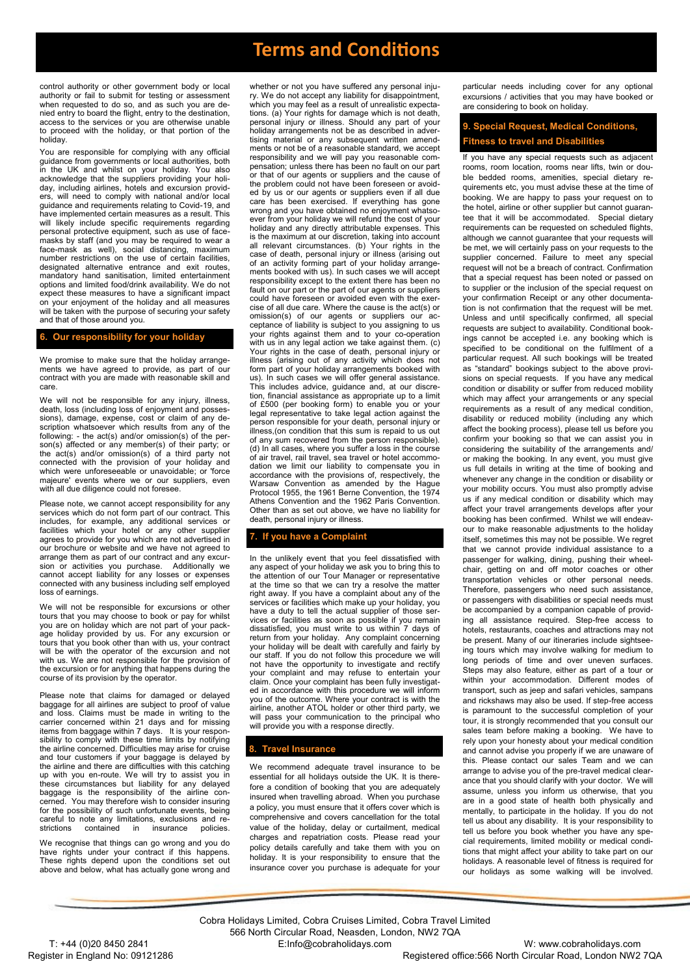# **Terms and Conditions**

control authority or other government body or local authority or fail to submit for testing or assessment when requested to do so, and as such you are denied entry to board the flight, entry to the destination, access to the services or you are otherwise unable to proceed with the holiday, or that portion of the holiday.

You are responsible for complying with any official guidance from governments or local authorities, both in the UK and whilst on your holiday. You also acknowledge that the suppliers providing your holiday, including airlines, hotels and excursion providers, will need to comply with national and/or local guidance and requirements relating to Covid-19, and have implemented certain measures as a result. This will likely include specific requirements regarding personal protective equipment, such as use of facemasks by staff (and you may be required to wear a face-mask as well), social distancing, maximum number restrictions on the use of certain facilities, designated alternative entrance and exit routes. mandatory hand sanitisation, limited entertainment options and limited food/drink availability. We do not expect these measures to have a significant impact on your enjoyment of the holiday and all measures will be taken with the purpose of securing your safety and that of those around you.

### **6. Our responsibility for your holiday**

We promise to make sure that the holiday arrangements we have agreed to provide, as part of our contract with you are made with reasonable skill and care.

We will not be responsible for any injury, illness, death, loss (including loss of enjoyment and possessions), damage, expense, cost or claim of any description whatsoever which results from any of the following: - the act(s) and/or omission(s) of the person(s) affected or any member(s) of their party; or the act(s) and/or omission(s) of a third party not connected with the provision of your holiday and which were unforeseeable or unavoidable; or 'force majeure' events where we or our suppliers, even with all due diligence could not foresee.

Please note, we cannot accept responsibility for any services which do not form part of our contract. This includes, for example, any additional services or facilities which your hotel or any other supplier agrees to provide for you which are not advertised in our brochure or website and we have not agreed to arrange them as part of our contract and any excur-<br>sion or activities you purchase. Additionally we sion or activities you purchase. Additionally we cannot accept liability for any losses or expenses connected with any business including self employed loss of earnings.

We will not be responsible for excursions or other tours that you may choose to book or pay for whilst you are on holiday which are not part of your pack-age holiday provided by us. For any excursion or tours that you book other than with us, your contract will be with the operator of the excursion and not with us. We are not responsible for the provision of the excursion or for anything that happens during the course of its provision by the operator.

Please note that claims for damaged or delayed baggage for all airlines are subject to proof of value and loss. Claims must be made in writing to the carrier concerned within 21 days and for missing items from baggage within 7 days. It is your responsibility to comply with these time limits by notifying the airline concerned. Difficulties may arise for cruise and tour customers if your baggage is delayed by the airline and there are difficulties with this catching up with you en-route. We will try to assist you in these circumstances but liability for any delayed baggage is the responsibility of the airline concerned. You may therefore wish to consider insuring for the possibility of such unfortunate events, being careful to note any limitations, exclusions and re-<br>strictions contained in insurance policies.  $insurance$ 

We recognise that things can go wrong and you do have rights under your contract if this happens. These rights depend upon the conditions set out above and below, what has actually gone wrong and

whether or not you have suffered any personal injury. We do not accept any liability for disappointment, which you may feel as a result of unrealistic expectations. (a) Your rights for damage which is not death, personal injury or illness. Should any part of your holiday arrangements not be as described in advertising material or any subsequent written amendments or not be of a reasonable standard, we accept responsibility and we will pay you reasonable compensation; unless there has been no fault on our part or that of our agents or suppliers and the cause of the problem could not have been foreseen or avoided by us or our agents or suppliers even if all due care has been exercised. If everything has gone wrong and you have obtained no enjoyment whatsoever from your holiday we will refund the cost of your holiday and any directly attributable expenses. This is the maximum at our discretion, taking into account all relevant circumstances. (b) Your rights in the case of death, personal injury or illness (arising out of an activity forming part of your holiday arrangements booked with us). In such cases we will accept responsibility except to the extent there has been no fault on our part or the part of our agents or suppliers could have foreseen or avoided even with the cise of all due care. Where the cause is the act(s) or omission(s) of our agents or suppliers our acceptance of liability is subject to you assigning to us your rights against them and to your co-operation with us in any legal action we take against them. (c) Your rights in the case of death, personal injury or illness (arising out of any activity which does not form part of your holiday arrangements booked with us). In such cases we will offer general assistance. This includes advice, guidance and, at our discretion, financial assistance as appropriate up to a limit of £500 (per booking form) to enable you or your legal representative to take legal action against the person responsible for your death, personal injury or illness,(on condition that this sum is repaid to us out of any sum recovered from the person responsible). (d) In all cases, where you suffer a loss in the course of air travel, rail travel, sea travel or hotel accommodation we limit our liability to compensate you in accordance with the provisions of, respectively, the Warsaw Convention as amended by the Hague Protocol 1955, the 1961 Berne Convention, the 1974 Athens Convention and the 1962 Paris Convention. Other than as set out above, we have no liability for death, personal injury or illness.

### **7. If you have a Complaint**

In the unlikely event that you feel dissatisfied with any aspect of your holiday we ask you to bring this to the attention of our Tour Manager or representative at the time so that we can try a resolve the matter right away. If you have a complaint about any of the services or facilities which make up your holiday, you have a duty to tell the actual supplier of those services or facilities as soon as possible if you remain dissatisfied, you must write to us within 7 days of return from your holiday. Any complaint concerning your holiday will be dealt with carefully and fairly by our staff. If you do not follow this procedure we will not have the opportunity to investigate and rectify your complaint and may refuse to entertain your claim. Once your complaint has been fully investigated in accordance with this procedure we will inform you of the outcome. Where your contract is with the airline, another ATOL holder or other third party, we will pass your communication to the principal who will provide you with a response directly.

### **8. Travel Insurance**

We recommend adequate travel insurance to be essential for all holidays outside the UK. It is therefore a condition of booking that you are adequately insured when travelling abroad. When you purchase a policy, you must ensure that it offers cover which is comprehensive and covers cancellation for the total value of the holiday, delay or curtailment, medical charges and repatriation costs. Please read your policy details carefully and take them with you on holiday. It is your responsibility to ensure that the insurance cover you purchase is adequate for your particular needs including cover for any optional excursions / activities that you may have booked or are considering to book on holiday.

### **9. Special Request, Medical Conditions, Fitness to travel and Disabilities**

If you have any special requests such as adjacent rooms, room location, rooms near lifts, twin or double bedded rooms, amenities, special dietary requirements etc, you must advise these at the time of booking. We are happy to pass your request on to the hotel, airline or other supplier but cannot guarantee that it will be accommodated. Special dietary requirements can be requested on scheduled flights, although we cannot guarantee that your requests will be met, we will certainly pass on your requests to the supplier concerned. Failure to meet any special request will not be a breach of contract. Confirmation that a special request has been noted or passed on to supplier or the inclusion of the special request on your confirmation Receipt or any other documentation is not confirmation that the request will be met. Unless and until specifically confirmed, all special requests are subject to availability. Conditional bookings cannot be accepted i.e. any booking which is specified to be conditional on the fulfilment of a particular request. All such bookings will be treated as "standard" bookings subject to the above provisions on special requests. If you have any medical condition or disability or suffer from reduced mobility which may affect your arrangements or any special requirements as a result of any medical condition, disability or reduced mobility (including any which affect the booking process), please tell us before you confirm your booking so that we can assist you in considering the suitability of the arrangements and/ or making the booking. In any event, you must give us full details in writing at the time of booking and whenever any change in the condition or disability or your mobility occurs. You must also promptly advise us if any medical condition or disability which may affect your travel arrangements develops after your booking has been confirmed. Whilst we will endeavour to make reasonable adjustments to the holiday itself, sometimes this may not be possible. We regret that we cannot provide individual assistance to a passenger for walking, dining, pushing their wheelchair, getting on and off motor coaches or other transportation vehicles or other personal needs. Therefore, passengers who need such assistance, or passengers with disabilities or special needs must be accompanied by a companion capable of providing all assistance required. Step-free access to hotels, restaurants, coaches and attractions may not be present. Many of our itineraries include sightseeing tours which may involve walking for medium to long periods of time and over uneven surfaces. Steps may also feature, either as part of a tour or within your accommodation. Different modes of transport, such as jeep and safari vehicles, sampans and rickshaws may also be used. If step-free access is paramount to the successful completion of your tour, it is strongly recommended that you consult our sales team before making a booking. We have to rely upon your honesty about your medical condition and cannot advise you properly if we are unaware of this. Please contact our sales Team and we can arrange to advise you of the pre-travel medical clearance that you should clarify with your doctor. We will assume, unless you inform us otherwise, that you are in a good state of health both physically and mentally, to participate in the holiday. If you do not tell us about any disability. It is your responsibility to tell us before you book whether you have any special requirements, limited mobility or medical conditions that might affect your ability to take part on our holidays. A reasonable level of fitness is required for our holidays as some walking will be involved.

Cobra Holidays Limited, Cobra Cruises Limited, Cobra Travel Limited 566 North Circular Road, Neasden, London, NW2 7QA T: +44 (0)20 8450 2841 E:Info@cobraholidays.com W: www.cobraholidays.com

Register in England No: 09121286 **Registered office:566 North Circular Road, London NW2 7QA**